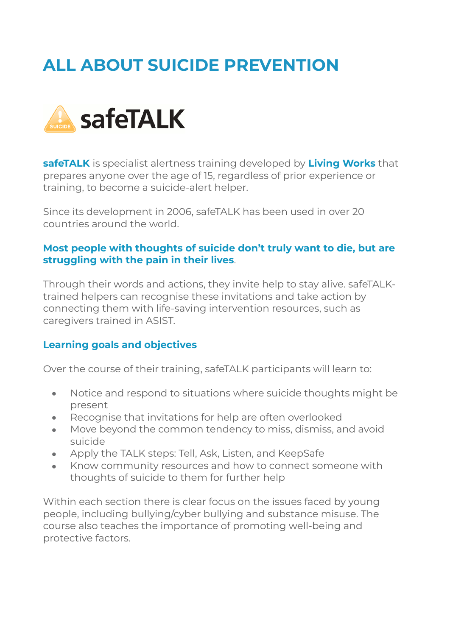# **ALL ABOUT SUICIDE PREVENTION**



**safeTALK** is specialist alertness training developed by **[Living Works](https://www.livingworks.net/)** that prepares anyone over the age of 15, regardless of prior experience or training, to become a suicide-alert helper.

Since its development in 2006, safeTALK has been used in over 20 countries around the world.

#### **Most people with thoughts of suicide don't truly want to die, but are struggling with the pain in their lives**.

Through their words and actions, they invite help to stay alive. safeTALKtrained helpers can recognise these invitations and take action by connecting them with life-saving intervention resources, such as caregivers trained in ASIST.

### **Learning goals and objectives**

Over the course of their training, safeTALK participants will learn to:

- Notice and respond to situations where suicide thoughts might be present
- Recognise that invitations for help are often overlooked
- Move beyond the common tendency to miss, dismiss, and avoid suicide
- Apply the TALK steps: Tell, Ask, Listen, and KeepSafe
- Know community resources and how to connect someone with thoughts of suicide to them for further help

Within each section there is clear focus on the issues faced by young people, including bullying/cyber bullying and substance misuse. The course also teaches the importance of promoting well-being and protective factors.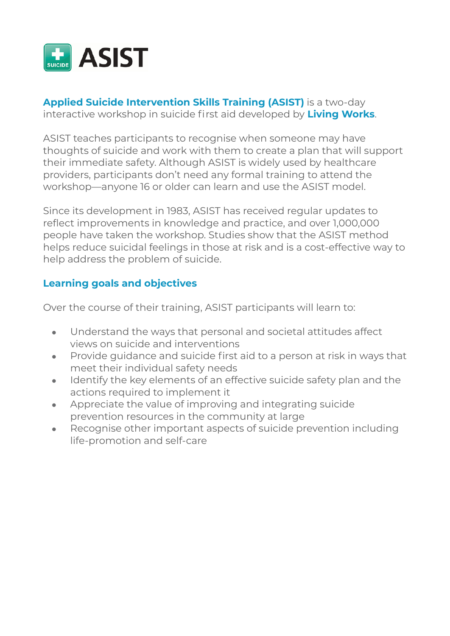

### **Applied Suicide Intervention Skills Training (ASIST)** is a two-day interactive workshop in suicide first aid developed by **[Living Works](https://www.livingworks.net/)**.

ASIST teaches participants to recognise when someone may have thoughts of suicide and work with them to create a plan that will support their immediate safety. Although ASIST is widely used by healthcare providers, participants don't need any formal training to attend the workshop—anyone 16 or older can learn and use the ASIST model.

Since its development in 1983, ASIST has received regular updates to reflect improvements in knowledge and practice, and over 1,000,000 people have taken the workshop. Studies show that the ASIST method helps reduce suicidal feelings in those at risk and is a cost-effective way to help address the problem of suicide.

### **Learning goals and objectives**

Over the course of their training, ASIST participants will learn to:

- Understand the ways that personal and societal attitudes affect views on suicide and interventions
- Provide guidance and suicide first aid to a person at risk in ways that meet their individual safety needs
- Identify the key elements of an effective suicide safety plan and the actions required to implement it
- Appreciate the value of improving and integrating suicide prevention resources in the community at large
- Recognise other important aspects of suicide prevention including life-promotion and self-care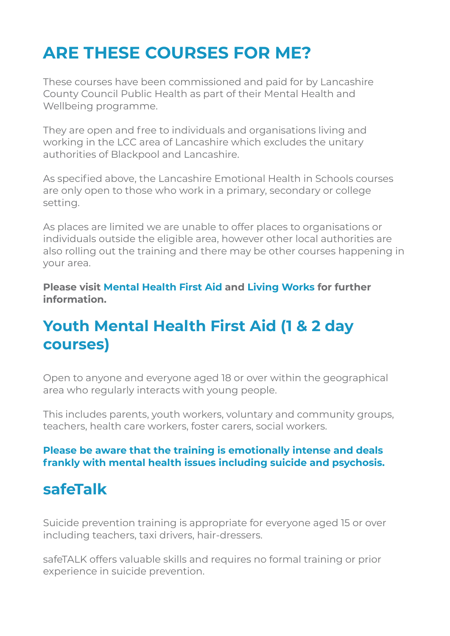## **ARE THESE COURSES FOR ME?**

These courses have been commissioned and paid for by Lancashire County Council Public Health as part of their Mental Health and Wellbeing programme.

They are open and free to individuals and organisations living and working in the LCC area of Lancashire which excludes the unitary authorities of Blackpool and Lancashire.

As specified above, the Lancashire Emotional Health in Schools courses are only open to those who work in a primary, secondary or college setting.

As places are limited we are unable to offer places to organisations or individuals outside the eligible area, however other local authorities are also rolling out the training and there may be other courses happening in your area.

**Please visit [Mental Health First Aid](https://mhfaengland.org/) and [Living Works](https://www.livingworks.net/) for further information.** 

### **Youth Mental Health First Aid (1 & 2 day courses)**

Open to anyone and everyone aged 18 or over within the geographical area who regularly interacts with young people.

This includes parents, youth workers, voluntary and community groups, teachers, health care workers, foster carers, social workers.

### **Please be aware that the training is emotionally intense and deals frankly with mental health issues including suicide and psychosis.**

### **safeTalk**

Suicide prevention training is appropriate for everyone aged 15 or over including teachers, taxi drivers, hair-dressers.

safeTALK offers valuable skills and requires no formal training or prior experience in suicide prevention.